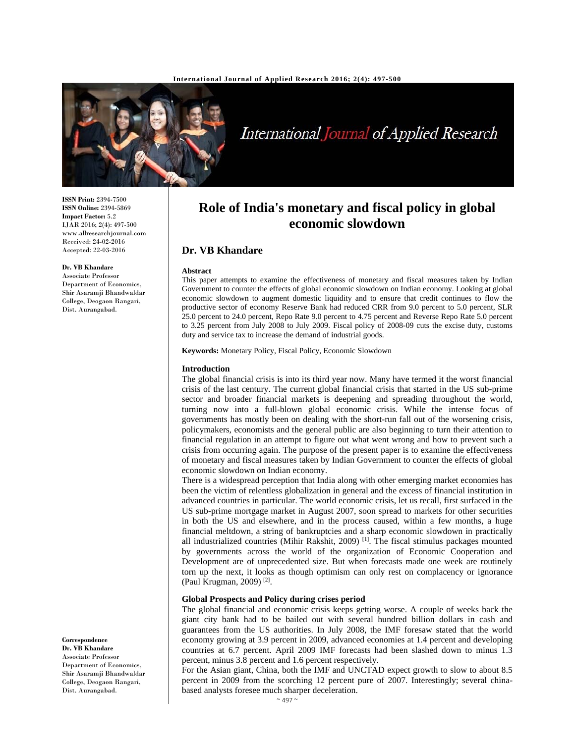

International Journal of Applied Research

**ISSN Print:** 2394-7500 **ISSN Online:** 2394-5869 **Impact Factor:** 5.2 IJAR 2016; 2(4): 497-500 www.allresearchjournal.com Received: 24-02-2016 Accepted: 22-03-2016

#### **Dr. VB Khandare**

Associate Professor Department of Economics, Shir Asaramji Bhandwaldar College, Deogaon Rangari, Dist. Aurangabad.

**Correspondence Dr. VB Khandare** 

Associate Professor Department of Economics, Shir Asaramji Bhandwaldar College, Deogaon Rangari, Dist. Aurangabad.

# **Role of India's monetary and fiscal policy in global economic slowdown**

# **Dr. VB Khandare**

#### **Abstract**

This paper attempts to examine the effectiveness of monetary and fiscal measures taken by Indian Government to counter the effects of global economic slowdown on Indian economy. Looking at global economic slowdown to augment domestic liquidity and to ensure that credit continues to flow the productive sector of economy Reserve Bank had reduced CRR from 9.0 percent to 5.0 percent, SLR 25.0 percent to 24.0 percent, Repo Rate 9.0 percent to 4.75 percent and Reverse Repo Rate 5.0 percent to 3.25 percent from July 2008 to July 2009. Fiscal policy of 2008-09 cuts the excise duty, customs duty and service tax to increase the demand of industrial goods.

**Keywords:** Monetary Policy, Fiscal Policy, Economic Slowdown

#### **Introduction**

The global financial crisis is into its third year now. Many have termed it the worst financial crisis of the last century. The current global financial crisis that started in the US sub-prime sector and broader financial markets is deepening and spreading throughout the world, turning now into a full-blown global economic crisis. While the intense focus of governments has mostly been on dealing with the short-run fall out of the worsening crisis, policymakers, economists and the general public are also beginning to turn their attention to financial regulation in an attempt to figure out what went wrong and how to prevent such a crisis from occurring again. The purpose of the present paper is to examine the effectiveness of monetary and fiscal measures taken by Indian Government to counter the effects of global economic slowdown on Indian economy.

There is a widespread perception that India along with other emerging market economies has been the victim of relentless globalization in general and the excess of financial institution in advanced countries in particular. The world economic crisis, let us recall, first surfaced in the US sub-prime mortgage market in August 2007, soon spread to markets for other securities in both the US and elsewhere, and in the process caused, within a few months, a huge financial meltdown, a string of bankruptcies and a sharp economic slowdown in practically all industrialized countries (Mihir Rakshit, 2009) [1]. The fiscal stimulus packages mounted by governments across the world of the organization of Economic Cooperation and Development are of unprecedented size. But when forecasts made one week are routinely torn up the next, it looks as though optimism can only rest on complacency or ignorance (Paul Krugman, 2009) [2].

# **Global Prospects and Policy during crises period**

The global financial and economic crisis keeps getting worse. A couple of weeks back the giant city bank had to be bailed out with several hundred billion dollars in cash and guarantees from the US authorities. In July 2008, the IMF foresaw stated that the world economy growing at 3.9 percent in 2009, advanced economies at 1.4 percent and developing countries at 6.7 percent. April 2009 IMF forecasts had been slashed down to minus 1.3 percent, minus 3.8 percent and 1.6 percent respectively.

For the Asian giant, China, both the IMF and UNCTAD expect growth to slow to about 8.5 percent in 2009 from the scorching 12 percent pure of 2007. Interestingly; several chinabased analysts foresee much sharper deceleration.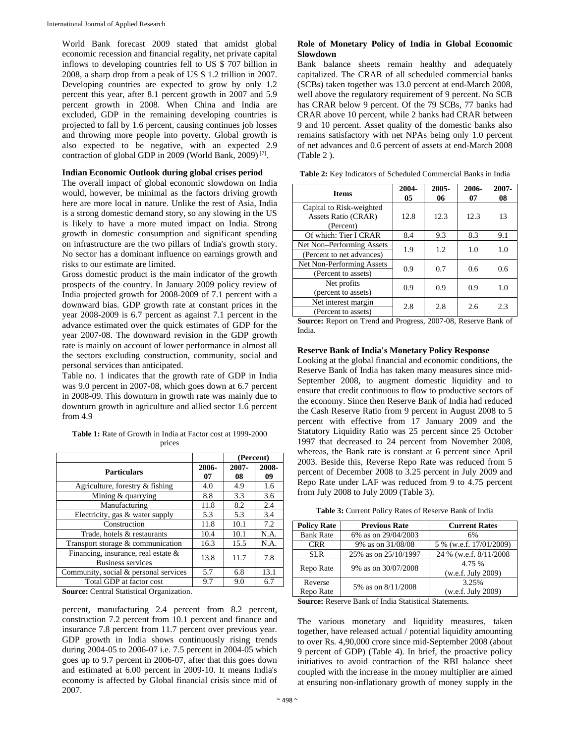World Bank forecast 2009 stated that amidst global economic recession and financial regality, net private capital inflows to developing countries fell to US \$ 707 billion in 2008, a sharp drop from a peak of US \$ 1.2 trillion in 2007. Developing countries are expected to grow by only 1.2 percent this year, after 8.1 percent growth in 2007 and 5.9 percent growth in 2008. When China and India are excluded, GDP in the remaining developing countries is projected to fall by 1.6 percent, causing continues job losses and throwing more people into poverty. Global growth is also expected to be negative, with an expected 2.9 contraction of global GDP in 2009 (World Bank, 2009) [7].

#### **Indian Economic Outlook during global crises period**

The overall impact of global economic slowdown on India would, however, be minimal as the factors driving growth here are more local in nature. Unlike the rest of Asia, India is a strong domestic demand story, so any slowing in the US is likely to have a more muted impact on India. Strong growth in domestic consumption and significant spending on infrastructure are the two pillars of India's growth story. No sector has a dominant influence on earnings growth and risks to our estimate are limited.

Gross domestic product is the main indicator of the growth prospects of the country. In January 2009 policy review of India projected growth for 2008-2009 of 7.1 percent with a downward bias. GDP growth rate at constant prices in the year 2008-2009 is 6.7 percent as against 7.1 percent in the advance estimated over the quick estimates of GDP for the year 2007-08. The downward revision in the GDP growth rate is mainly on account of lower performance in almost all the sectors excluding construction, community, social and personal services than anticipated.

Table no. 1 indicates that the growth rate of GDP in India was 9.0 percent in 2007-08, which goes down at 6.7 percent in 2008-09. This downturn in growth rate was mainly due to downturn growth in agriculture and allied sector 1.6 percent from 4.9

**Table 1:** Rate of Growth in India at Factor cost at 1999-2000 prices

|                                       |             | (Percent)   |             |
|---------------------------------------|-------------|-------------|-------------|
| <b>Particulars</b>                    | 2006-<br>07 | 2007-<br>08 | 2008-<br>09 |
| Agriculture, forestry & fishing       | 4.0         | 4.9         | 1.6         |
| Mining $&$ quarrying                  | 8.8         | 3.3         | 3.6         |
| Manufacturing                         | 11.8        | 8.2         | 2.4         |
| Electricity, gas & water supply       | 5.3         | 5.3         | 3.4         |
| Construction                          | 11.8        | 10.1        | 7.2         |
| Trade, hotels & restaurants           | 10.4        | 10.1        | N.A.        |
| Transport storage & communication     | 16.3        | 15.5        | N.A.        |
| Financing, insurance, real estate &   | 13.8        | 11.7        | 7.8         |
| <b>Business services</b>              |             |             |             |
| Community, social & personal services | 5.7         | 6.8         | 13.1        |
| Total GDP at factor cost              | 9.7         | 9.0         | 6.7         |

**Source:** Central Statistical Organization.

percent, manufacturing 2.4 percent from 8.2 percent, construction 7.2 percent from 10.1 percent and finance and insurance 7.8 percent from 11.7 percent over previous year. GDP growth in India shows continuously rising trends during 2004-05 to 2006-07 i.e. 7.5 percent in 2004-05 which goes up to 9.7 percent in 2006-07, after that this goes down and estimated at 6.00 percent in 2009-10. It means India's economy is affected by Global financial crisis since mid of 2007.

# **Role of Monetary Policy of India in Global Economic Slowdown**

Bank balance sheets remain healthy and adequately capitalized. The CRAR of all scheduled commercial banks (SCBs) taken together was 13.0 percent at end-March 2008, well above the regulatory requirement of 9 percent. No SCB has CRAR below 9 percent. Of the 79 SCBs, 77 banks had CRAR above 10 percent, while 2 banks had CRAR between 9 and 10 percent. Asset quality of the domestic banks also remains satisfactory with net NPAs being only 1.0 percent of net advances and 0.6 percent of assets at end-March 2008 (Table 2 ).

| <b>Items</b>                     | 2004-<br>05 | 2005-<br>06 | 2006-<br>07 | 2007-<br>08 |
|----------------------------------|-------------|-------------|-------------|-------------|
| Capital to Risk-weighted         |             |             |             |             |
| Assets Ratio (CRAR)<br>(Percent) | 12.8        | 12.3        | 12.3        | 13          |
| Of which: Tier I CRAR            | 8.4         | 9.3         | 8.3         | 9.1         |
| Net Non-Performing Assets        | 1.9         | 1.2         | 1.0         | 1.0         |
| (Percent to net advances)        |             |             |             |             |
| Net Non-Performing Assets        |             | 0.9<br>0.7  | 0.6         | 0.6         |
| (Percent to assets)              |             |             |             |             |
| Net profits                      | 0.9         | 0.9         | 0.9         | 1.0         |
| (percent to assets)              |             |             |             |             |
| Net interest margin              |             | 2.8<br>2.8  | 2.6         | 2.3         |
| (Percent to assets)              |             |             |             |             |

**Source:** Report on Trend and Progress, 2007-08, Reserve Bank of India.

# **Reserve Bank of India's Monetary Policy Response**

Looking at the global financial and economic conditions, the Reserve Bank of India has taken many measures since mid-September 2008, to augment domestic liquidity and to ensure that credit continuous to flow to productive sectors of the economy. Since then Reserve Bank of India had reduced the Cash Reserve Ratio from 9 percent in August 2008 to 5 percent with effective from 17 January 2009 and the Statutory Liquidity Ratio was 25 percent since 25 October 1997 that decreased to 24 percent from November 2008, whereas, the Bank rate is constant at 6 percent since April 2003. Beside this, Reverse Repo Rate was reduced from 5 percent of December 2008 to 3.25 percent in July 2009 and Repo Rate under LAF was reduced from 9 to 4.75 percent from July 2008 to July 2009 (Table 3).

**Table 3:** Current Policy Rates of Reserve Bank of India

| <b>Policy Rate</b>                                           | <b>Previous Rate</b> | <b>Current Rates</b>         |
|--------------------------------------------------------------|----------------------|------------------------------|
| <b>Bank Rate</b>                                             | 6% as on 29/04/2003  | 6%                           |
| <b>CRR</b>                                                   | 9% as on 31/08/08    | 5 % (w.e.f. 17/01/2009)      |
| <b>SLR</b>                                                   | 25% as on 25/10/1997 | 24 % (w.e.f. 8/11/2008       |
| Repo Rate                                                    | 9% as on 30/07/2008  | 4.75 %<br>(w.e.f. July 2009) |
| Reverse<br>Repo Rate                                         | 5% as on 8/11/2008   | 3.25%<br>(w.e.f. July 2009)  |
| <b>Source:</b> Reserve Bank of India Statistical Statements. |                      |                              |

The various monetary and liquidity measures, taken together, have released actual / potential liquidity amounting to over Rs. 4,90,000 crore since mid-September 2008 (about 9 percent of GDP) (Table 4). In brief, the proactive policy initiatives to avoid contraction of the RBI balance sheet coupled with the increase in the money multiplier are aimed at ensuring non-inflationary growth of money supply in the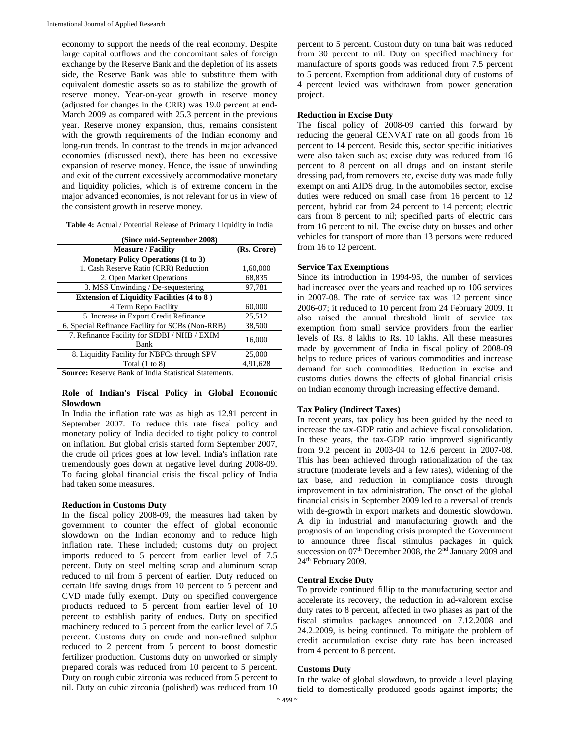economy to support the needs of the real economy. Despite large capital outflows and the concomitant sales of foreign exchange by the Reserve Bank and the depletion of its assets side, the Reserve Bank was able to substitute them with equivalent domestic assets so as to stabilize the growth of reserve money. Year-on-year growth in reserve money (adjusted for changes in the CRR) was 19.0 percent at end-March 2009 as compared with 25.3 percent in the previous year. Reserve money expansion, thus, remains consistent with the growth requirements of the Indian economy and long-run trends. In contrast to the trends in major advanced economies (discussed next), there has been no excessive expansion of reserve money. Hence, the issue of unwinding and exit of the current excessively accommodative monetary and liquidity policies, which is of extreme concern in the major advanced economies, is not relevant for us in view of the consistent growth in reserve money.

| Table 4: Actual / Potential Release of Primary Liquidity in India |  |  |  |
|-------------------------------------------------------------------|--|--|--|
|-------------------------------------------------------------------|--|--|--|

| (Since mid-September 2008)                           |             |  |  |
|------------------------------------------------------|-------------|--|--|
| <b>Measure / Facility</b>                            | (Rs. Crore) |  |  |
| <b>Monetary Policy Operations (1 to 3)</b>           |             |  |  |
| 1. Cash Reserve Ratio (CRR) Reduction                | 1,60,000    |  |  |
| 2. Open Market Operations                            | 68,835      |  |  |
| 3. MSS Unwinding / De-sequestering                   | 97,781      |  |  |
| <b>Extension of Liquidity Facilities (4 to 8)</b>    |             |  |  |
| 4. Term Repo Facility                                | 60,000      |  |  |
| 5. Increase in Export Credit Refinance               | 25,512      |  |  |
| 6. Special Refinance Facility for SCBs (Non-RRB)     | 38,500      |  |  |
| 7. Refinance Facility for SIDBI / NHB / EXIM<br>Bank | 16,000      |  |  |
| 8. Liquidity Facility for NBFCs through SPV          | 25,000      |  |  |
| Total $(1 to 8)$                                     | 4,91,628    |  |  |

**Source:** Reserve Bank of India Statistical Statements.

# **Role of Indian's Fiscal Policy in Global Economic Slowdown**

In India the inflation rate was as high as 12.91 percent in September 2007. To reduce this rate fiscal policy and monetary policy of India decided to tight policy to control on inflation. But global crisis started form September 2007, the crude oil prices goes at low level. India's inflation rate tremendously goes down at negative level during 2008-09. To facing global financial crisis the fiscal policy of India had taken some measures.

# **Reduction in Customs Duty**

In the fiscal policy 2008-09, the measures had taken by government to counter the effect of global economic slowdown on the Indian economy and to reduce high inflation rate. These included; customs duty on project imports reduced to 5 percent from earlier level of 7.5 percent. Duty on steel melting scrap and aluminum scrap reduced to nil from 5 percent of earlier. Duty reduced on certain life saving drugs from 10 percent to 5 percent and CVD made fully exempt. Duty on specified convergence products reduced to 5 percent from earlier level of 10 percent to establish parity of endues. Duty on specified machinery reduced to 5 percent from the earlier level of 7.5 percent. Customs duty on crude and non-refined sulphur reduced to 2 percent from 5 percent to boost domestic fertilizer production. Customs duty on unworked or simply prepared corals was reduced from 10 percent to 5 percent. Duty on rough cubic zirconia was reduced from 5 percent to nil. Duty on cubic zirconia (polished) was reduced from 10

percent to 5 percent. Custom duty on tuna bait was reduced from 30 percent to nil. Duty on specified machinery for manufacture of sports goods was reduced from 7.5 percent to 5 percent. Exemption from additional duty of customs of 4 percent levied was withdrawn from power generation project.

# **Reduction in Excise Duty**

The fiscal policy of 2008-09 carried this forward by reducing the general CENVAT rate on all goods from 16 percent to 14 percent. Beside this, sector specific initiatives were also taken such as; excise duty was reduced from 16 percent to 8 percent on all drugs and on instant sterile dressing pad, from removers etc, excise duty was made fully exempt on anti AIDS drug. In the automobiles sector, excise duties were reduced on small case from 16 percent to 12 percent, hybrid car from 24 percent to 14 percent; electric cars from 8 percent to nil; specified parts of electric cars from 16 percent to nil. The excise duty on busses and other vehicles for transport of more than 13 persons were reduced from 16 to 12 percent.

# **Service Tax Exemptions**

Since its introduction in 1994-95, the number of services had increased over the years and reached up to 106 services in 2007-08. The rate of service tax was 12 percent since 2006-07; it reduced to 10 percent from 24 February 2009. It also raised the annual threshold limit of service tax exemption from small service providers from the earlier levels of Rs. 8 lakhs to Rs. 10 lakhs. All these measures made by government of India in fiscal policy of 2008-09 helps to reduce prices of various commodities and increase demand for such commodities. Reduction in excise and customs duties downs the effects of global financial crisis on Indian economy through increasing effective demand.

# **Tax Policy (Indirect Taxes)**

In recent years, tax policy has been guided by the need to increase the tax-GDP ratio and achieve fiscal consolidation. In these years, the tax-GDP ratio improved significantly from 9.2 percent in 2003-04 to 12.6 percent in 2007-08. This has been achieved through rationalization of the tax structure (moderate levels and a few rates), widening of the tax base, and reduction in compliance costs through improvement in tax administration. The onset of the global financial crisis in September 2009 led to a reversal of trends with de-growth in export markets and domestic slowdown. A dip in industrial and manufacturing growth and the prognosis of an impending crisis prompted the Government to announce three fiscal stimulus packages in quick succession on 07<sup>th</sup> December 2008, the 2<sup>nd</sup> January 2009 and 24th February 2009.

# **Central Excise Duty**

To provide continued fillip to the manufacturing sector and accelerate its recovery, the reduction in ad-valorem excise duty rates to 8 percent, affected in two phases as part of the fiscal stimulus packages announced on 7.12.2008 and 24.2.2009, is being continued. To mitigate the problem of credit accumulation excise duty rate has been increased from 4 percent to 8 percent.

# **Customs Duty**

In the wake of global slowdown, to provide a level playing field to domestically produced goods against imports; the